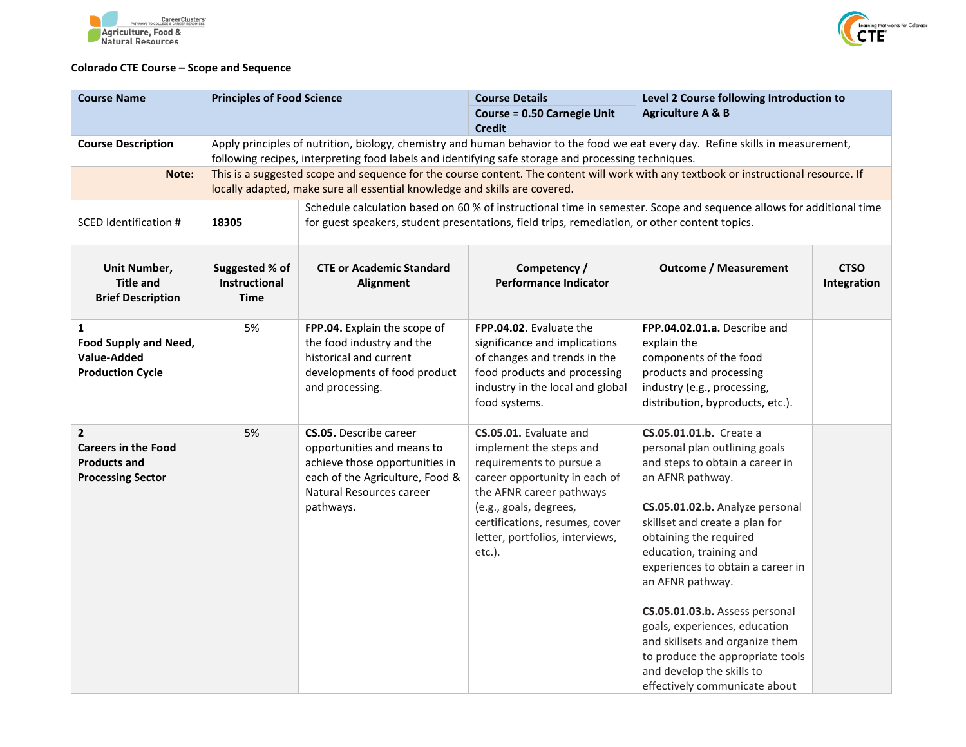



## **Colorado CTE Course – Scope and Sequence**

| <b>Course Name</b>                                                                            | <b>Principles of Food Science</b>                                                                                                                                                                                                       |                                                                                                                                                                                                                      | <b>Course Details</b>                                                                                                                                                                                                                                  | Level 2 Course following Introduction to                                                                                                                                                                                                                                                                                                                                                                                                                                                                   |                            |  |  |
|-----------------------------------------------------------------------------------------------|-----------------------------------------------------------------------------------------------------------------------------------------------------------------------------------------------------------------------------------------|----------------------------------------------------------------------------------------------------------------------------------------------------------------------------------------------------------------------|--------------------------------------------------------------------------------------------------------------------------------------------------------------------------------------------------------------------------------------------------------|------------------------------------------------------------------------------------------------------------------------------------------------------------------------------------------------------------------------------------------------------------------------------------------------------------------------------------------------------------------------------------------------------------------------------------------------------------------------------------------------------------|----------------------------|--|--|
|                                                                                               |                                                                                                                                                                                                                                         |                                                                                                                                                                                                                      | <b>Course = 0.50 Carnegie Unit</b><br><b>Credit</b>                                                                                                                                                                                                    | <b>Agriculture A &amp; B</b>                                                                                                                                                                                                                                                                                                                                                                                                                                                                               |                            |  |  |
| <b>Course Description</b>                                                                     | Apply principles of nutrition, biology, chemistry and human behavior to the food we eat every day. Refine skills in measurement,<br>following recipes, interpreting food labels and identifying safe storage and processing techniques. |                                                                                                                                                                                                                      |                                                                                                                                                                                                                                                        |                                                                                                                                                                                                                                                                                                                                                                                                                                                                                                            |                            |  |  |
| Note:                                                                                         | This is a suggested scope and sequence for the course content. The content will work with any textbook or instructional resource. If<br>locally adapted, make sure all essential knowledge and skills are covered.                      |                                                                                                                                                                                                                      |                                                                                                                                                                                                                                                        |                                                                                                                                                                                                                                                                                                                                                                                                                                                                                                            |                            |  |  |
| SCED Identification #                                                                         | 18305                                                                                                                                                                                                                                   | Schedule calculation based on 60 % of instructional time in semester. Scope and sequence allows for additional time<br>for guest speakers, student presentations, field trips, remediation, or other content topics. |                                                                                                                                                                                                                                                        |                                                                                                                                                                                                                                                                                                                                                                                                                                                                                                            |                            |  |  |
| Unit Number,<br><b>Title and</b><br><b>Brief Description</b>                                  | Suggested % of<br><b>Instructional</b><br>Time                                                                                                                                                                                          | <b>CTE or Academic Standard</b><br>Alignment                                                                                                                                                                         | Competency /<br><b>Performance Indicator</b>                                                                                                                                                                                                           | <b>Outcome / Measurement</b>                                                                                                                                                                                                                                                                                                                                                                                                                                                                               | <b>CTSO</b><br>Integration |  |  |
| 1<br><b>Food Supply and Need,</b><br>Value-Added<br><b>Production Cycle</b>                   | 5%                                                                                                                                                                                                                                      | FPP.04. Explain the scope of<br>the food industry and the<br>historical and current<br>developments of food product<br>and processing.                                                                               | FPP.04.02. Evaluate the<br>significance and implications<br>of changes and trends in the<br>food products and processing<br>industry in the local and global<br>food systems.                                                                          | FPP.04.02.01.a. Describe and<br>explain the<br>components of the food<br>products and processing<br>industry (e.g., processing,<br>distribution, byproducts, etc.).                                                                                                                                                                                                                                                                                                                                        |                            |  |  |
| $\mathbf{2}$<br><b>Careers in the Food</b><br><b>Products and</b><br><b>Processing Sector</b> | 5%                                                                                                                                                                                                                                      | <b>CS.05.</b> Describe career<br>opportunities and means to<br>achieve those opportunities in<br>each of the Agriculture, Food &<br>Natural Resources career<br>pathways.                                            | CS.05.01. Evaluate and<br>implement the steps and<br>requirements to pursue a<br>career opportunity in each of<br>the AFNR career pathways<br>(e.g., goals, degrees,<br>certifications, resumes, cover<br>letter, portfolios, interviews,<br>$etc.$ ). | CS.05.01.01.b. Create a<br>personal plan outlining goals<br>and steps to obtain a career in<br>an AFNR pathway.<br>CS.05.01.02.b. Analyze personal<br>skillset and create a plan for<br>obtaining the required<br>education, training and<br>experiences to obtain a career in<br>an AFNR pathway.<br>CS.05.01.03.b. Assess personal<br>goals, experiences, education<br>and skillsets and organize them<br>to produce the appropriate tools<br>and develop the skills to<br>effectively communicate about |                            |  |  |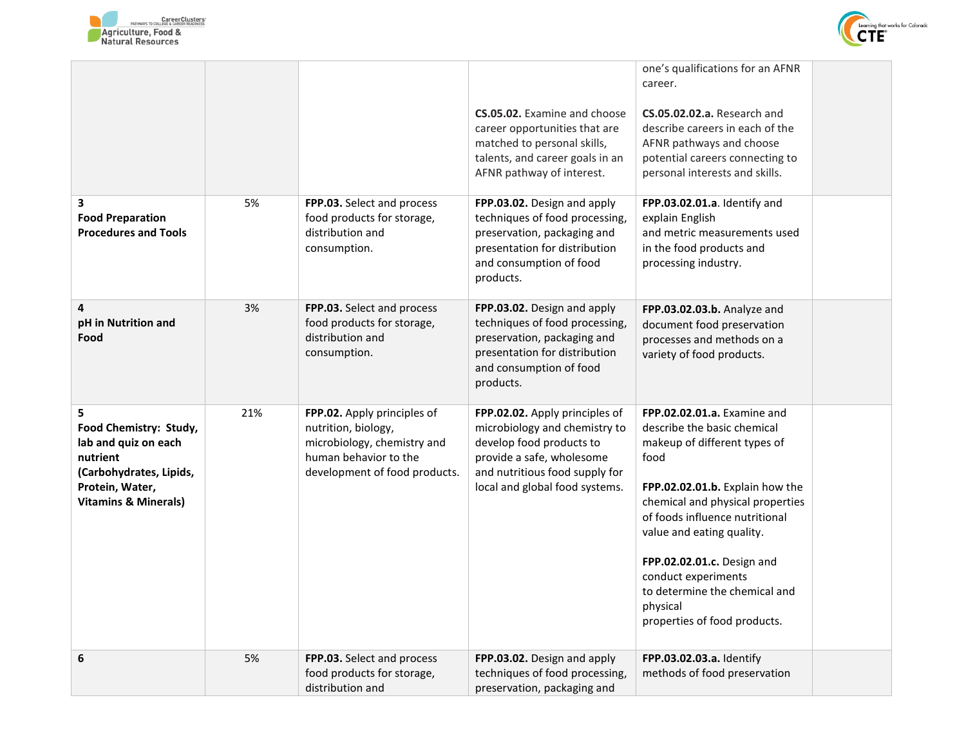



|                                                                                                                                                  |     |                                                                                                                                             | CS.05.02. Examine and choose<br>career opportunities that are<br>matched to personal skills,<br>talents, and career goals in an<br>AFNR pathway of interest.                                 | one's qualifications for an AFNR<br>career.<br>CS.05.02.02.a. Research and<br>describe careers in each of the<br>AFNR pathways and choose<br>potential careers connecting to<br>personal interests and skills.                                                                                                                                                             |
|--------------------------------------------------------------------------------------------------------------------------------------------------|-----|---------------------------------------------------------------------------------------------------------------------------------------------|----------------------------------------------------------------------------------------------------------------------------------------------------------------------------------------------|----------------------------------------------------------------------------------------------------------------------------------------------------------------------------------------------------------------------------------------------------------------------------------------------------------------------------------------------------------------------------|
| 3<br><b>Food Preparation</b><br><b>Procedures and Tools</b>                                                                                      | 5%  | FPP.03. Select and process<br>food products for storage,<br>distribution and<br>consumption.                                                | FPP.03.02. Design and apply<br>techniques of food processing,<br>preservation, packaging and<br>presentation for distribution<br>and consumption of food<br>products.                        | FPP.03.02.01.a. Identify and<br>explain English<br>and metric measurements used<br>in the food products and<br>processing industry.                                                                                                                                                                                                                                        |
| 4<br>pH in Nutrition and<br>Food                                                                                                                 | 3%  | FPP.03. Select and process<br>food products for storage,<br>distribution and<br>consumption.                                                | FPP.03.02. Design and apply<br>techniques of food processing,<br>preservation, packaging and<br>presentation for distribution<br>and consumption of food<br>products.                        | FPP.03.02.03.b. Analyze and<br>document food preservation<br>processes and methods on a<br>variety of food products.                                                                                                                                                                                                                                                       |
| 5<br>Food Chemistry: Study,<br>lab and quiz on each<br>nutrient<br>(Carbohydrates, Lipids,<br>Protein, Water,<br><b>Vitamins &amp; Minerals)</b> | 21% | FPP.02. Apply principles of<br>nutrition, biology,<br>microbiology, chemistry and<br>human behavior to the<br>development of food products. | FPP.02.02. Apply principles of<br>microbiology and chemistry to<br>develop food products to<br>provide a safe, wholesome<br>and nutritious food supply for<br>local and global food systems. | FPP.02.02.01.a. Examine and<br>describe the basic chemical<br>makeup of different types of<br>food<br>FPP.02.02.01.b. Explain how the<br>chemical and physical properties<br>of foods influence nutritional<br>value and eating quality.<br>FPP.02.02.01.c. Design and<br>conduct experiments<br>to determine the chemical and<br>physical<br>properties of food products. |
| 6                                                                                                                                                | 5%  | FPP.03. Select and process<br>food products for storage,<br>distribution and                                                                | FPP.03.02. Design and apply<br>techniques of food processing,<br>preservation, packaging and                                                                                                 | FPP.03.02.03.a. Identify<br>methods of food preservation                                                                                                                                                                                                                                                                                                                   |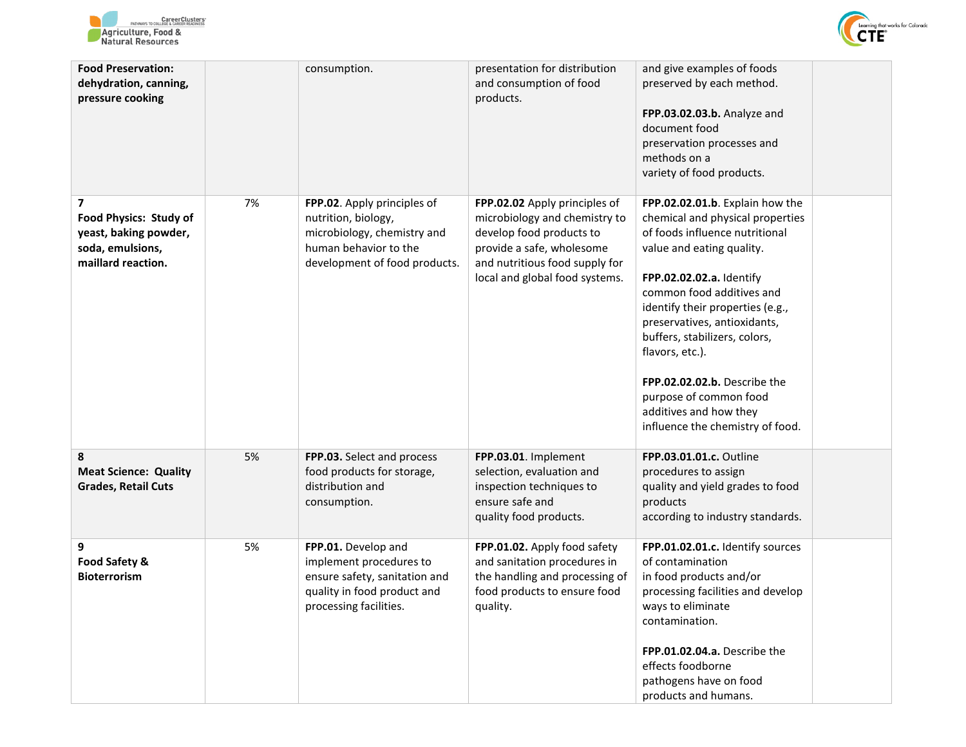



| <b>Food Preservation:</b><br>dehydration, canning,<br>pressure cooking                         |    | consumption.                                                                                                                                | presentation for distribution<br>and consumption of food<br>products.                                                                                                                       | and give examples of foods<br>preserved by each method.<br>FPP.03.02.03.b. Analyze and<br>document food<br>preservation processes and<br>methods on a<br>variety of food products.                                                                                                                                                                                                                                                          |
|------------------------------------------------------------------------------------------------|----|---------------------------------------------------------------------------------------------------------------------------------------------|---------------------------------------------------------------------------------------------------------------------------------------------------------------------------------------------|---------------------------------------------------------------------------------------------------------------------------------------------------------------------------------------------------------------------------------------------------------------------------------------------------------------------------------------------------------------------------------------------------------------------------------------------|
| 7<br>Food Physics: Study of<br>yeast, baking powder,<br>soda, emulsions,<br>maillard reaction. | 7% | FPP.02. Apply principles of<br>nutrition, biology,<br>microbiology, chemistry and<br>human behavior to the<br>development of food products. | FPP.02.02 Apply principles of<br>microbiology and chemistry to<br>develop food products to<br>provide a safe, wholesome<br>and nutritious food supply for<br>local and global food systems. | FPP.02.02.01.b. Explain how the<br>chemical and physical properties<br>of foods influence nutritional<br>value and eating quality.<br>FPP.02.02.02.a. Identify<br>common food additives and<br>identify their properties (e.g.,<br>preservatives, antioxidants,<br>buffers, stabilizers, colors,<br>flavors, etc.).<br>FPP.02.02.02.b. Describe the<br>purpose of common food<br>additives and how they<br>influence the chemistry of food. |
| 8<br><b>Meat Science: Quality</b><br><b>Grades, Retail Cuts</b>                                | 5% | FPP.03. Select and process<br>food products for storage,<br>distribution and<br>consumption.                                                | FPP.03.01. Implement<br>selection, evaluation and<br>inspection techniques to<br>ensure safe and<br>quality food products.                                                                  | FPP.03.01.01.c. Outline<br>procedures to assign<br>quality and yield grades to food<br>products<br>according to industry standards.                                                                                                                                                                                                                                                                                                         |
| 9<br>Food Safety &<br><b>Bioterrorism</b>                                                      | 5% | FPP.01. Develop and<br>implement procedures to<br>ensure safety, sanitation and<br>quality in food product and<br>processing facilities.    | FPP.01.02. Apply food safety<br>and sanitation procedures in<br>the handling and processing of<br>food products to ensure food<br>quality.                                                  | FPP.01.02.01.c. Identify sources<br>of contamination<br>in food products and/or<br>processing facilities and develop<br>ways to eliminate<br>contamination.<br>FPP.01.02.04.a. Describe the<br>effects foodborne<br>pathogens have on food<br>products and humans.                                                                                                                                                                          |